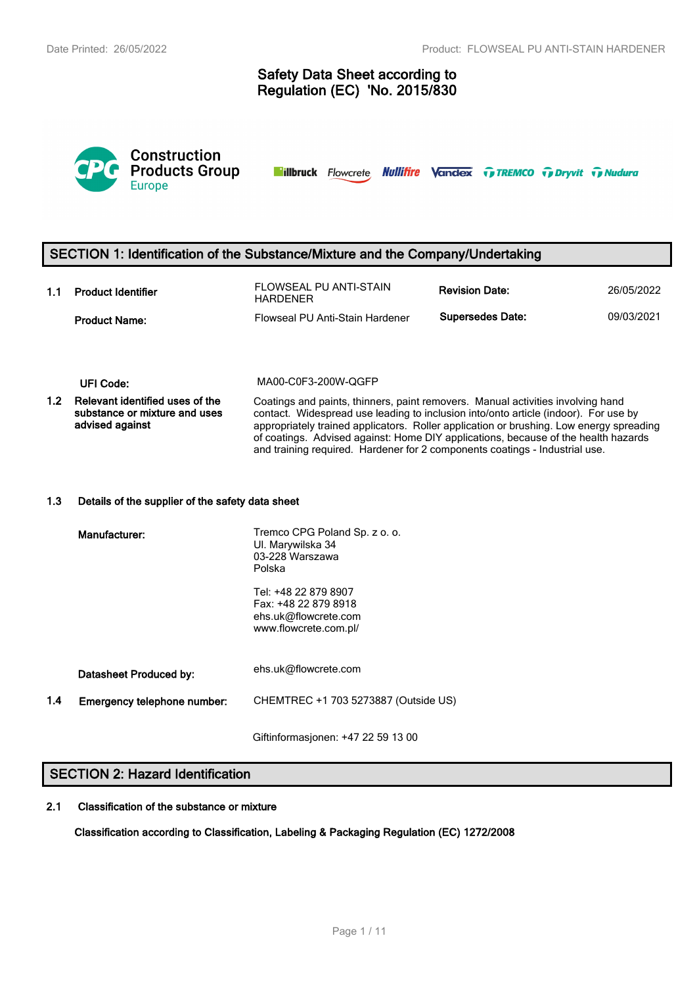# **Safety Data Sheet according to Regulation (EC) 'No. 2015/830**



**Nillbruck** Flowcrete **Nullifire Vandex TreMCO** Trenty Tradura

# **SECTION 1: Identification of the Substance/Mixture and the Company/Undertaking**

| 1.1 | <b>Product Identifier</b> | FLOWSEAL PU ANTI-STAIN<br><b>HARDENER</b> | <b>Revision Date:</b>   | 26/05/2022 |
|-----|---------------------------|-------------------------------------------|-------------------------|------------|
|     | <b>Product Name:</b>      | Flowseal PU Anti-Stain Hardener           | <b>Supersedes Date:</b> | 09/03/2021 |

**UFI Code:** MA00-C0F3-200W-QGFP

**1.2 Relevant identified uses of the substance or mixture and uses advised against** Coatings and paints, thinners, paint removers. Manual activities involving hand contact. Widespread use leading to inclusion into/onto article (indoor). For use by appropriately trained applicators. Roller application or brushing. Low energy spreading of coatings. Advised against: Home DIY applications, because of the health hazards and training required. Hardener for 2 components coatings - Industrial use.

#### **1.3 Details of the supplier of the safety data sheet**

|     | Manufacturer:               | Tremco CPG Poland Sp. z o. o.<br>UI. Marywilska 34<br>03-228 Warszawa<br>Polska               |
|-----|-----------------------------|-----------------------------------------------------------------------------------------------|
|     |                             | Tel: +48 22 879 8907<br>Fax: +48 22 879 8918<br>ehs.uk@flowcrete.com<br>www.flowcrete.com.pl/ |
|     | Datasheet Produced by:      | ehs.uk@flowcrete.com                                                                          |
| 1.4 | Emergency telephone number: | CHEMTREC +1 703 5273887 (Outside US)                                                          |
|     |                             |                                                                                               |

Giftinformasjonen: +47 22 59 13 00

# **SECTION 2: Hazard Identification**

## **2.1 Classification of the substance or mixture**

**Classification according to Classification, Labeling & Packaging Regulation (EC) 1272/2008**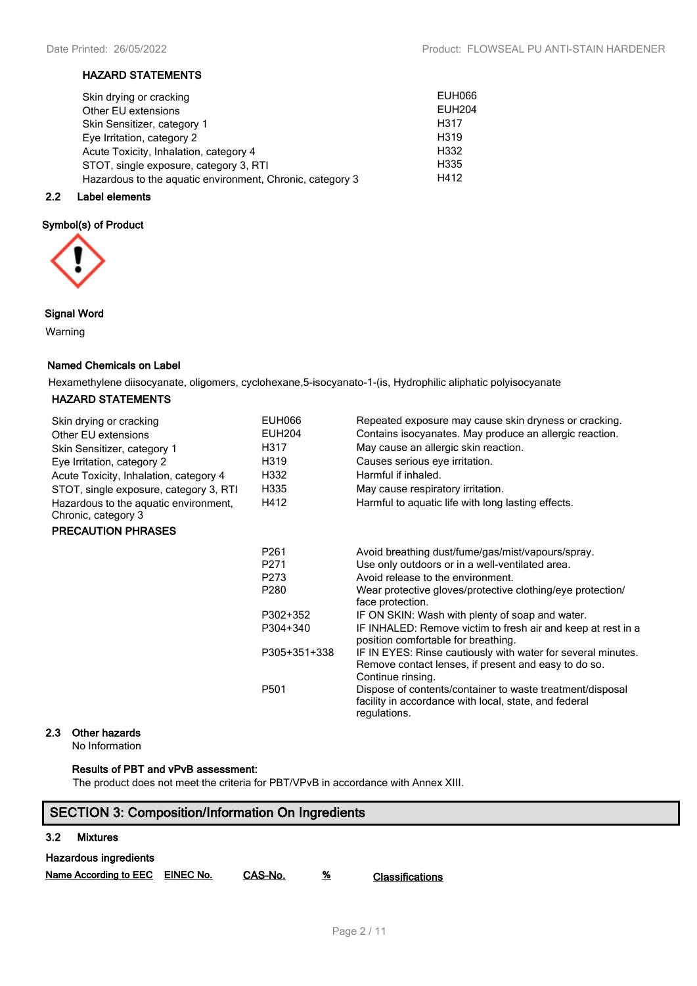# **HAZARD STATEMENTS**

| Skin drying or cracking                                   | <b>EUH066</b>     |
|-----------------------------------------------------------|-------------------|
| Other EU extensions                                       | <b>EUH204</b>     |
| Skin Sensitizer, category 1                               | H <sub>3</sub> 17 |
| Eye Irritation, category 2                                | H <sub>3</sub> 19 |
| Acute Toxicity, Inhalation, category 4                    | H332              |
| STOT, single exposure, category 3, RTI                    | H335              |
| Hazardous to the aquatic environment, Chronic, category 3 | H412              |
|                                                           |                   |

# **2.2 Label elements**

# **Symbol(s) of Product**



# **Signal Word**

Warning

# **Named Chemicals on Label**

Hexamethylene diisocyanate, oligomers, cyclohexane,5-isocyanato-1-(is, Hydrophilic aliphatic polyisocyanate

# **HAZARD STATEMENTS**

| Skin drying or cracking<br>Other EU extensions               | <b>EUH066</b><br><b>EUH204</b> | Repeated exposure may cause skin dryness or cracking.<br>Contains isocyanates. May produce an allergic reaction.                          |
|--------------------------------------------------------------|--------------------------------|-------------------------------------------------------------------------------------------------------------------------------------------|
| Skin Sensitizer, category 1                                  | H317                           | May cause an allergic skin reaction.                                                                                                      |
| Eye Irritation, category 2                                   | H319                           | Causes serious eye irritation.                                                                                                            |
| Acute Toxicity, Inhalation, category 4                       | H332                           | Harmful if inhaled.                                                                                                                       |
| STOT, single exposure, category 3, RTI                       | H335                           | May cause respiratory irritation.                                                                                                         |
| Hazardous to the aquatic environment,<br>Chronic, category 3 | H412                           | Harmful to aquatic life with long lasting effects.                                                                                        |
| <b>PRECAUTION PHRASES</b>                                    |                                |                                                                                                                                           |
|                                                              | P261                           | Avoid breathing dust/fume/gas/mist/vapours/spray.                                                                                         |
|                                                              | P271                           | Use only outdoors or in a well-ventilated area.                                                                                           |
|                                                              | P273                           | Avoid release to the environment.                                                                                                         |
|                                                              | P280                           | Wear protective gloves/protective clothing/eye protection/<br>face protection.                                                            |
|                                                              | P302+352                       | IF ON SKIN: Wash with plenty of soap and water.                                                                                           |
|                                                              | P304+340                       | IF INHALED: Remove victim to fresh air and keep at rest in a<br>position comfortable for breathing.                                       |
|                                                              | P305+351+338                   | IF IN EYES: Rinse cautiously with water for several minutes.<br>Remove contact lenses, if present and easy to do so.<br>Continue rinsing. |
|                                                              | P501                           | Dispose of contents/container to waste treatment/disposal<br>facility in accordance with local, state, and federal<br>regulations.        |

# **2.3 Other hazards**

No Information

# **Results of PBT and vPvB assessment:**

The product does not meet the criteria for PBT/VPvB in accordance with Annex XIII.

# **SECTION 3: Composition/Information On Ingredients 3.2 Mixtures Hazardous ingredients**

**Name According to EEC EINEC No. CAS-No. % Classifications**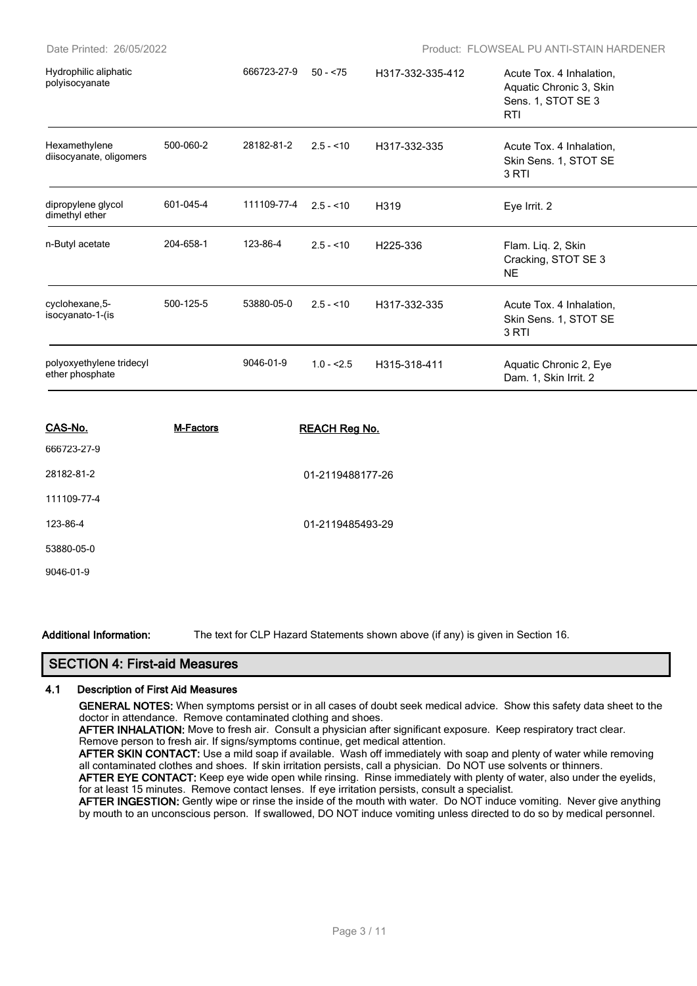| CAS-No.                                     | M-Factors |             | <b>REACH Reg No.</b> |                  |                                                                                         |  |
|---------------------------------------------|-----------|-------------|----------------------|------------------|-----------------------------------------------------------------------------------------|--|
| polyoxyethylene tridecyl<br>ether phosphate |           | 9046-01-9   | $1.0 - 2.5$          | H315-318-411     | Aquatic Chronic 2, Eye<br>Dam. 1, Skin Irrit. 2                                         |  |
| cyclohexane, 5-<br>isocyanato-1-(is         | 500-125-5 | 53880-05-0  | $2.5 - 10$           | H317-332-335     | Acute Tox. 4 Inhalation,<br>Skin Sens. 1, STOT SE<br>3 RTI                              |  |
| n-Butyl acetate                             | 204-658-1 | 123-86-4    | $2.5 - 10$           | H225-336         | Flam. Liq. 2, Skin<br>Cracking, STOT SE 3<br><b>NE</b>                                  |  |
| dipropylene glycol<br>dimethyl ether        | 601-045-4 | 111109-77-4 | $2.5 - 10$           | H <sub>319</sub> | Eye Irrit. 2                                                                            |  |
| Hexamethylene<br>diisocyanate, oligomers    | 500-060-2 | 28182-81-2  | $2.5 - 10$           | H317-332-335     | Acute Tox. 4 Inhalation,<br>Skin Sens. 1, STOT SE<br>3 RTI                              |  |
| Hydrophilic aliphatic<br>polyisocyanate     |           | 666723-27-9 | $50 - 575$           | H317-332-335-412 | Acute Tox. 4 Inhalation,<br>Aquatic Chronic 3, Skin<br>Sens. 1, STOT SE 3<br><b>RTI</b> |  |

| 666723-27-9 |                  |
|-------------|------------------|
| 28182-81-2  | 01-2119488177-26 |
| 111109-77-4 |                  |
| 123-86-4    | 01-2119485493-29 |
| 53880-05-0  |                  |
| 9046-01-9   |                  |
|             |                  |

**Additional Information:** The text for CLP Hazard Statements shown above (if any) is given in Section 16.

# **SECTION 4: First-aid Measures**

#### **4.1 Description of First Aid Measures**

**GENERAL NOTES:** When symptoms persist or in all cases of doubt seek medical advice. Show this safety data sheet to the doctor in attendance. Remove contaminated clothing and shoes.

**AFTER INHALATION:** Move to fresh air. Consult a physician after significant exposure. Keep respiratory tract clear. Remove person to fresh air. If signs/symptoms continue, get medical attention.

**AFTER SKIN CONTACT:** Use a mild soap if available. Wash off immediately with soap and plenty of water while removing all contaminated clothes and shoes. If skin irritation persists, call a physician. Do NOT use solvents or thinners.

AFTER EYE CONTACT: Keep eye wide open while rinsing. Rinse immediately with plenty of water, also under the eyelids, for at least 15 minutes. Remove contact lenses. If eye irritation persists, consult a specialist.

**AFTER INGESTION:** Gently wipe or rinse the inside of the mouth with water. Do NOT induce vomiting. Never give anything by mouth to an unconscious person. If swallowed, DO NOT induce vomiting unless directed to do so by medical personnel.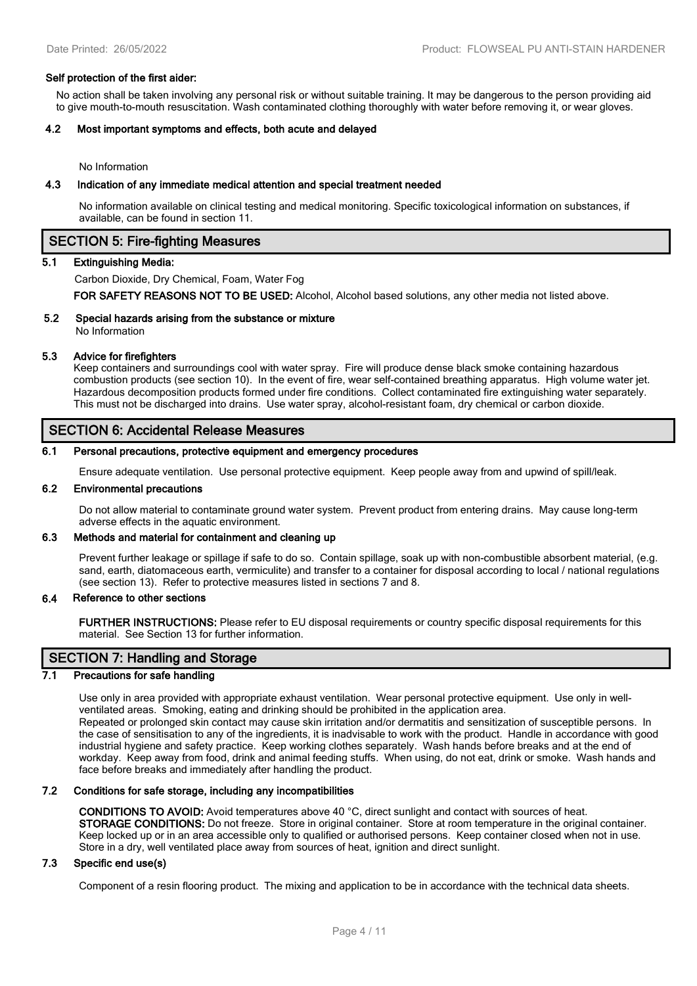#### **Self protection of the first aider:**

No action shall be taken involving any personal risk or without suitable training. It may be dangerous to the person providing aid to give mouth-to-mouth resuscitation. Wash contaminated clothing thoroughly with water before removing it, or wear gloves.

#### **4.2 Most important symptoms and effects, both acute and delayed**

No Information

#### **4.3 Indication of any immediate medical attention and special treatment needed**

No information available on clinical testing and medical monitoring. Specific toxicological information on substances, if available, can be found in section 11.

#### **SECTION 5: Fire-fighting Measures**

#### **5.1 Extinguishing Media:**

Carbon Dioxide, Dry Chemical, Foam, Water Fog

**FOR SAFETY REASONS NOT TO BE USED:** Alcohol, Alcohol based solutions, any other media not listed above.

# **5.2 Special hazards arising from the substance or mixture**

No Information

# **5.3 Advice for firefighters**

Keep containers and surroundings cool with water spray. Fire will produce dense black smoke containing hazardous combustion products (see section 10). In the event of fire, wear self-contained breathing apparatus. High volume water jet. Hazardous decomposition products formed under fire conditions. Collect contaminated fire extinguishing water separately. This must not be discharged into drains. Use water spray, alcohol-resistant foam, dry chemical or carbon dioxide.

# **SECTION 6: Accidental Release Measures**

#### **6.1 Personal precautions, protective equipment and emergency procedures**

Ensure adequate ventilation. Use personal protective equipment. Keep people away from and upwind of spill/leak.

#### **6.2 Environmental precautions**

Do not allow material to contaminate ground water system. Prevent product from entering drains. May cause long-term adverse effects in the aquatic environment.

# **6.3 Methods and material for containment and cleaning up**

Prevent further leakage or spillage if safe to do so. Contain spillage, soak up with non-combustible absorbent material, (e.g. sand, earth, diatomaceous earth, vermiculite) and transfer to a container for disposal according to local / national regulations (see section 13). Refer to protective measures listed in sections 7 and 8.

#### **6.4 Reference to other sections**

**FURTHER INSTRUCTIONS:** Please refer to EU disposal requirements or country specific disposal requirements for this material. See Section 13 for further information.

# **SECTION 7: Handling and Storage**

# **7.1 Precautions for safe handling**

Use only in area provided with appropriate exhaust ventilation. Wear personal protective equipment. Use only in wellventilated areas. Smoking, eating and drinking should be prohibited in the application area. Repeated or prolonged skin contact may cause skin irritation and/or dermatitis and sensitization of susceptible persons. In the case of sensitisation to any of the ingredients, it is inadvisable to work with the product. Handle in accordance with good industrial hygiene and safety practice. Keep working clothes separately. Wash hands before breaks and at the end of workday. Keep away from food, drink and animal feeding stuffs. When using, do not eat, drink or smoke. Wash hands and face before breaks and immediately after handling the product.

#### **7.2 Conditions for safe storage, including any incompatibilities**

**CONDITIONS TO AVOID:** Avoid temperatures above 40 °C, direct sunlight and contact with sources of heat. **STORAGE CONDITIONS:** Do not freeze. Store in original container. Store at room temperature in the original container. Keep locked up or in an area accessible only to qualified or authorised persons. Keep container closed when not in use. Store in a dry, well ventilated place away from sources of heat, ignition and direct sunlight.

# **7.3 Specific end use(s)**

Component of a resin flooring product. The mixing and application to be in accordance with the technical data sheets.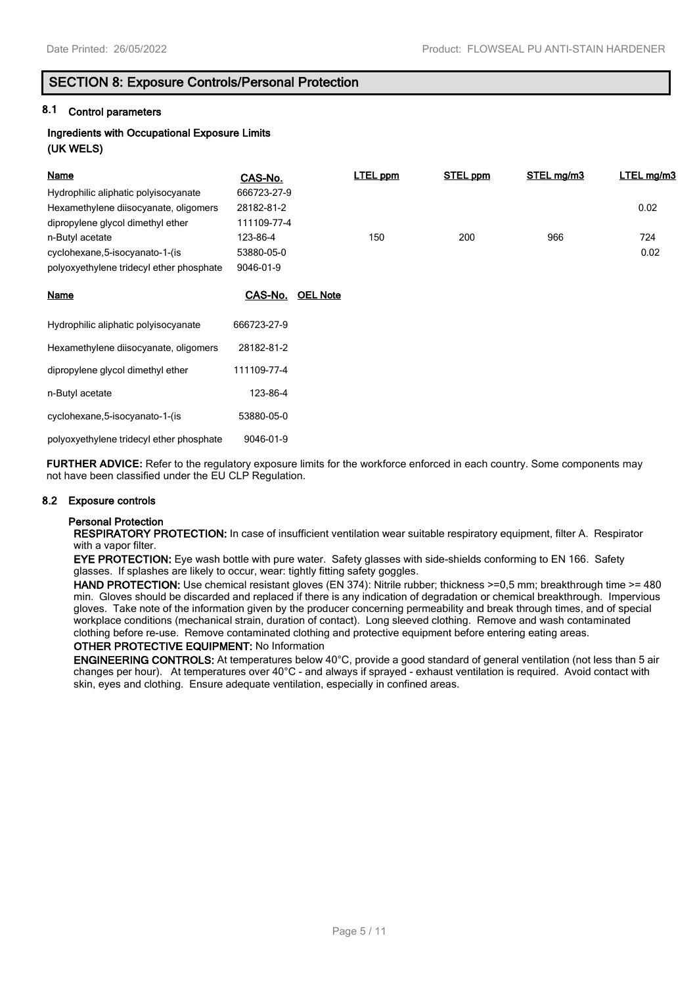# **SECTION 8: Exposure Controls/Personal Protection**

# **8.1 Control parameters**

# **Ingredients with Occupational Exposure Limits (UK WELS)**

| Name                                     | CAS-No.        |                 | <b>LTEL ppm</b> | STEL ppm | STEL mg/m3 | LTEL mg/m3 |
|------------------------------------------|----------------|-----------------|-----------------|----------|------------|------------|
| Hydrophilic aliphatic polyisocyanate     | 666723-27-9    |                 |                 |          |            |            |
| Hexamethylene diisocyanate, oligomers    | 28182-81-2     |                 |                 |          |            | 0.02       |
| dipropylene glycol dimethyl ether        | 111109-77-4    |                 |                 |          |            |            |
| n-Butyl acetate                          | 123-86-4       |                 | 150             | 200      | 966        | 724        |
| cyclohexane, 5-isocyanato-1-(is          | 53880-05-0     |                 |                 |          |            | 0.02       |
| polyoxyethylene tridecyl ether phosphate | 9046-01-9      |                 |                 |          |            |            |
| <b>Name</b>                              | <u>CAS-No.</u> | <b>OEL Note</b> |                 |          |            |            |
| Hydrophilic aliphatic polyisocyanate     | 666723-27-9    |                 |                 |          |            |            |
| Hexamethylene diisocyanate, oligomers    | 28182-81-2     |                 |                 |          |            |            |
| dipropylene glycol dimethyl ether        | 111109-77-4    |                 |                 |          |            |            |
| n-Butyl acetate                          | 123-86-4       |                 |                 |          |            |            |
| cyclohexane, 5-isocyanato-1-(is          | 53880-05-0     |                 |                 |          |            |            |
| polyoxyethylene tridecyl ether phosphate | 9046-01-9      |                 |                 |          |            |            |

**FURTHER ADVICE:** Refer to the regulatory exposure limits for the workforce enforced in each country. Some components may not have been classified under the EU CLP Regulation.

#### **8.2 Exposure controls**

# **Personal Protection**

**RESPIRATORY PROTECTION:** In case of insufficient ventilation wear suitable respiratory equipment, filter A. Respirator with a vapor filter.

**EYE PROTECTION:** Eye wash bottle with pure water. Safety glasses with side-shields conforming to EN 166. Safety glasses. If splashes are likely to occur, wear: tightly fitting safety goggles.

**HAND PROTECTION:** Use chemical resistant gloves (EN 374): Nitrile rubber; thickness >=0.5 mm; breakthrough time >= 480 min. Gloves should be discarded and replaced if there is any indication of degradation or chemical breakthrough. Impervious gloves. Take note of the information given by the producer concerning permeability and break through times, and of special workplace conditions (mechanical strain, duration of contact). Long sleeved clothing. Remove and wash contaminated clothing before re-use. Remove contaminated clothing and protective equipment before entering eating areas.

# **OTHER PROTECTIVE EQUIPMENT:** No Information

**ENGINEERING CONTROLS:** At temperatures below 40°C, provide a good standard of general ventilation (not less than 5 air changes per hour). At temperatures over 40°C - and always if sprayed - exhaust ventilation is required. Avoid contact with skin, eyes and clothing. Ensure adequate ventilation, especially in confined areas.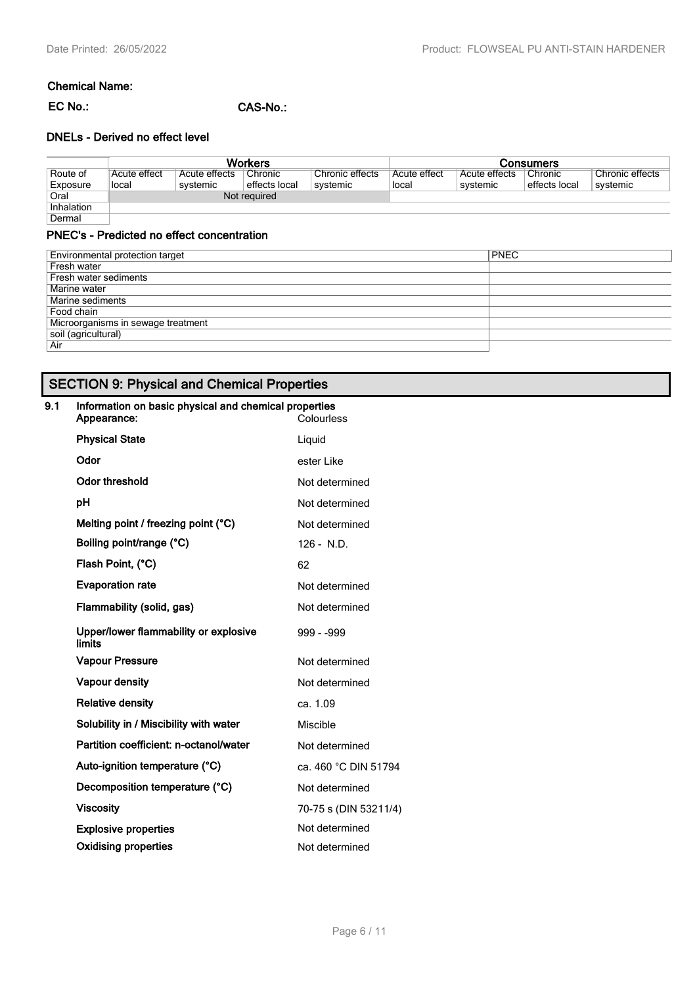# **Chemical Name:**

**EC No.: CAS-No.:**

# **DNELs - Derived no effect level**

|            | <b>Workers</b> |               |               |                 | Consumers    |               |               |                 |
|------------|----------------|---------------|---------------|-----------------|--------------|---------------|---------------|-----------------|
| Route of   | Acute effect   | Acute effects | Chronic       | Chronic effects | Acute effect | Acute effects | Chronic       | Chronic effects |
| Exposure   | local          | systemic      | effects local | svstemic        | local        | systemic      | effects local | systemic        |
| Oral       |                |               | Not required  |                 |              |               |               |                 |
| Inhalation |                |               |               |                 |              |               |               |                 |
| Dermal     |                |               |               |                 |              |               |               |                 |

# **PNEC's - Predicted no effect concentration**

| Environmental protection target    | <b>PNEC</b> |
|------------------------------------|-------------|
| Fresh water                        |             |
| Fresh water sediments              |             |
| Marine water                       |             |
| Marine sediments                   |             |
| Food chain                         |             |
| Microorganisms in sewage treatment |             |
| soil (agricultural)                |             |
| Air                                |             |

# **SECTION 9: Physical and Chemical Properties**

# **9.1 Information on basic physical and chemical properties**

| Appearance:                                     | Colourless            |
|-------------------------------------------------|-----------------------|
| <b>Physical State</b>                           | Liquid                |
| Odor                                            | ester Like            |
| <b>Odor threshold</b>                           | Not determined        |
| рH                                              | Not determined        |
| Melting point / freezing point (°C)             | Not determined        |
| Boiling point/range (°C)                        | $126 - N.D.$          |
| Flash Point, (°C)                               | 62                    |
| <b>Evaporation rate</b>                         | Not determined        |
| Flammability (solid, gas)                       | Not determined        |
| Upper/lower flammability or explosive<br>limits | 999 - 999             |
| <b>Vapour Pressure</b>                          | Not determined        |
| <b>Vapour density</b>                           | Not determined        |
| <b>Relative density</b>                         | ca. 1.09              |
| Solubility in / Miscibility with water          | Miscible              |
| Partition coefficient: n-octanol/water          | Not determined        |
| Auto-ignition temperature (°C)                  | ca. 460 °C DIN 51794  |
| Decomposition temperature (°C)                  | Not determined        |
| <b>Viscosity</b>                                | 70-75 s (DIN 53211/4) |
| <b>Explosive properties</b>                     | Not determined        |
| <b>Oxidising properties</b>                     | Not determined        |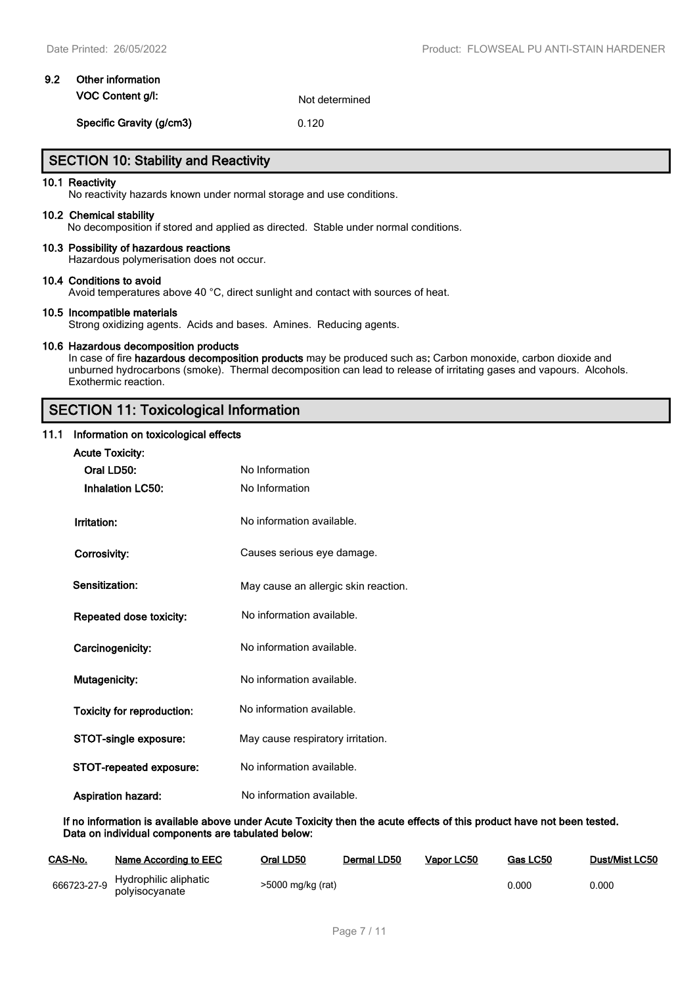# **9.2 Other information VOC Content g/l:** Not determined

**Specific Gravity (g/cm3)** 0.120

# **SECTION 10: Stability and Reactivity**

#### **10.1 Reactivity**

No reactivity hazards known under normal storage and use conditions.

#### **10.2 Chemical stability**

No decomposition if stored and applied as directed. Stable under normal conditions.

#### **10.3 Possibility of hazardous reactions**

Hazardous polymerisation does not occur.

#### **10.4 Conditions to avoid**

Avoid temperatures above 40 °C, direct sunlight and contact with sources of heat.

#### **10.5 Incompatible materials**

Strong oxidizing agents. Acids and bases. Amines. Reducing agents.

#### **10.6 Hazardous decomposition products**

In case of fire **hazardous decomposition products** may be produced such as**:** Carbon monoxide, carbon dioxide and unburned hydrocarbons (smoke). Thermal decomposition can lead to release of irritating gases and vapours. Alcohols. Exothermic reaction.

# **SECTION 11: Toxicological Information**

# **11.1 Information on toxicological effects**

| <b>Acute Toxicity:</b>            |                                      |
|-----------------------------------|--------------------------------------|
| Oral LD50:                        | No Information                       |
| <b>Inhalation LC50:</b>           | No Information                       |
| Irritation:                       | No information available.            |
| Corrosivity:                      | Causes serious eye damage.           |
| Sensitization:                    | May cause an allergic skin reaction. |
| Repeated dose toxicity:           | No information available.            |
| Carcinogenicity:                  | No information available.            |
| Mutagenicity:                     | No information available.            |
| <b>Toxicity for reproduction:</b> | No information available.            |
| STOT-single exposure:             | May cause respiratory irritation.    |
| <b>STOT-repeated exposure:</b>    | No information available.            |
| <b>Aspiration hazard:</b>         | No information available.            |

**If no information is available above under Acute Toxicity then the acute effects of this product have not been tested. Data on individual components are tabulated below:**

| CAS-No. | Name According to EEC                               | Oral LD50         | Dermal LD50 | Vapor LC50 | Gas LC50 | Dust/Mist LC50 |
|---------|-----------------------------------------------------|-------------------|-------------|------------|----------|----------------|
|         | S66723-27-9 Hydrophilic aliphatic<br>polyisocyanate | >5000 mg/kg (rat) |             |            | 0.000    | 0.000          |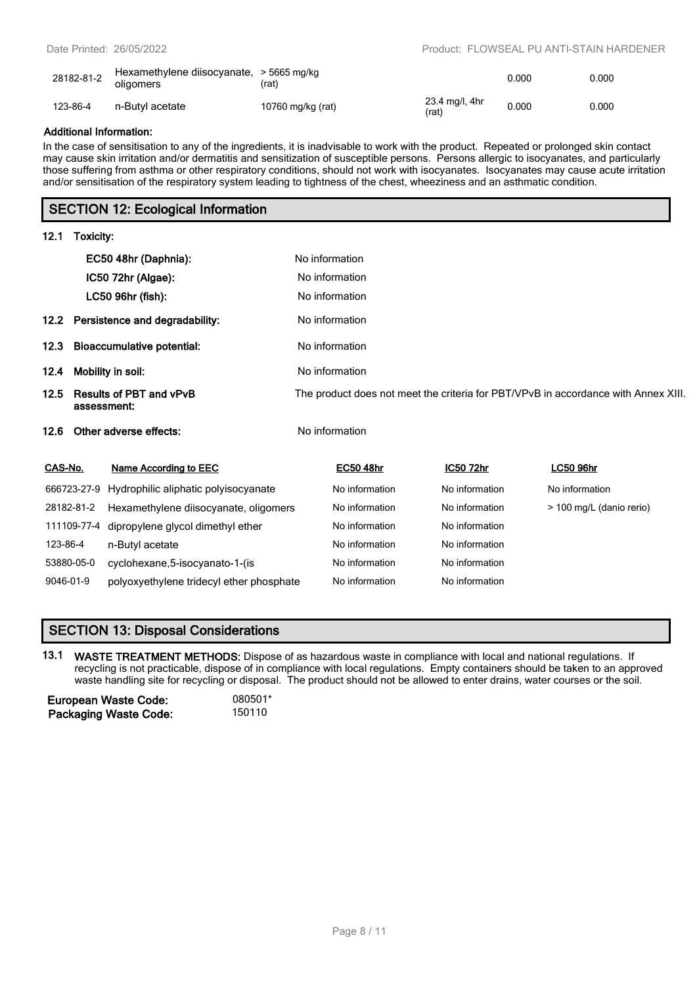| 28182-81-2 | Hexamethylene diisocyanate, > 5665 mg/kg<br>oligomers | 'rat)             |                           | 0.000 | 0.000 |
|------------|-------------------------------------------------------|-------------------|---------------------------|-------|-------|
| 123-86-4   | n-Butyl acetate                                       | 10760 mg/kg (rat) | $23.4$ mg/l, 4hr<br>(rat) | 0.000 | 0.000 |

# **Additional Information:**

In the case of sensitisation to any of the ingredients, it is inadvisable to work with the product. Repeated or prolonged skin contact may cause skin irritation and/or dermatitis and sensitization of susceptible persons. Persons allergic to isocyanates, and particularly those suffering from asthma or other respiratory conditions, should not work with isocyanates. Isocyanates may cause acute irritation and/or sensitisation of the respiratory system leading to tightness of the chest, wheeziness and an asthmatic condition.

# **SECTION 12: Ecological Information**

# **12.1 Toxicity:**

|                                                       |                        | EC50 48hr (Daphnia):                                                               | No information |                  |  |                  |  |                          |  |
|-------------------------------------------------------|------------------------|------------------------------------------------------------------------------------|----------------|------------------|--|------------------|--|--------------------------|--|
|                                                       |                        | IC50 72hr (Algae):                                                                 |                | No information   |  |                  |  |                          |  |
|                                                       |                        | LC50 96hr (fish):                                                                  |                | No information   |  |                  |  |                          |  |
|                                                       |                        | 12.2 Persistence and degradability:                                                | No information |                  |  |                  |  |                          |  |
| <b>Bioaccumulative potential:</b><br>12.3             |                        | No information                                                                     |                |                  |  |                  |  |                          |  |
| 12.4<br>Mobility in soil:                             |                        | No information                                                                     |                |                  |  |                  |  |                          |  |
| 12.5<br><b>Results of PBT and vPvB</b><br>assessment: |                        | The product does not meet the criteria for PBT/VPvB in accordance with Annex XIII. |                |                  |  |                  |  |                          |  |
| 12.6                                                  | Other adverse effects: |                                                                                    |                | No information   |  |                  |  |                          |  |
| CAS-No.                                               |                        | Name According to EEC                                                              |                | <b>EC50 48hr</b> |  | <u>IC50 72hr</u> |  | <b>LC50 96hr</b>         |  |
|                                                       | 666723-27-9            | Hydrophilic aliphatic polyisocyanate                                               |                | No information   |  | No information   |  | No information           |  |
| 28182-81-2                                            |                        | Hexamethylene diisocyanate, oligomers                                              |                | No information   |  | No information   |  | > 100 mg/L (danio rerio) |  |
|                                                       | 111109-77-4            | dipropylene glycol dimethyl ether                                                  |                | No information   |  | No information   |  |                          |  |
| 123-86-4                                              |                        | n-Butyl acetate                                                                    |                | No information   |  | No information   |  |                          |  |

# **SECTION 13: Disposal Considerations**

**13.1 WASTE TREATMENT METHODS:** Dispose of as hazardous waste in compliance with local and national regulations. If recycling is not practicable, dispose of in compliance with local regulations. Empty containers should be taken to an approved waste handling site for recycling or disposal. The product should not be allowed to enter drains, water courses or the soil.

53880-05-0 cyclohexane,5-isocyanato-1-(is No information No information 9046-01-9 polyoxyethylene tridecyl ether phosphate No information No information

| <b>European Waste Code:</b>  | 080501* |
|------------------------------|---------|
| <b>Packaging Waste Code:</b> | 150110  |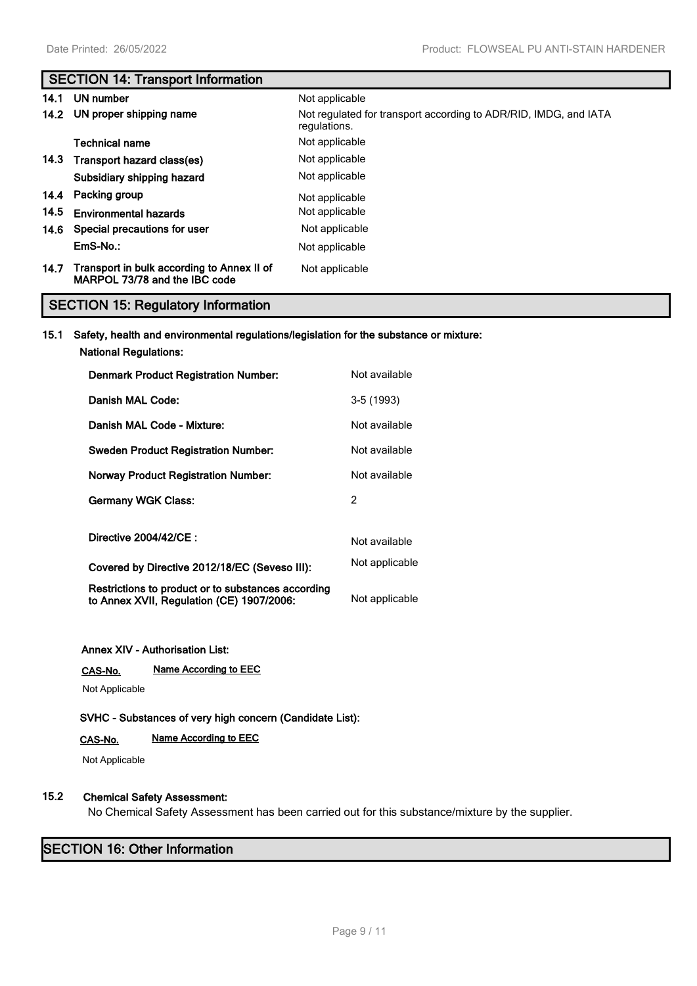# **SECTION 14: Transport Information**

| 14.1 | UN number                                                                   | Not applicable                                                                   |
|------|-----------------------------------------------------------------------------|----------------------------------------------------------------------------------|
|      | 14.2 UN proper shipping name                                                | Not regulated for transport according to ADR/RID, IMDG, and IATA<br>regulations. |
|      | Technical name                                                              | Not applicable                                                                   |
|      | 14.3 Transport hazard class(es)                                             | Not applicable                                                                   |
|      | Subsidiary shipping hazard                                                  | Not applicable                                                                   |
|      | 14.4 Packing group                                                          | Not applicable                                                                   |
| 14.5 | <b>Environmental hazards</b>                                                | Not applicable                                                                   |
| 14.6 | Special precautions for user                                                | Not applicable                                                                   |
|      | EmS-No.:                                                                    | Not applicable                                                                   |
| 14.7 | Transport in bulk according to Annex II of<br>MARPOL 73/78 and the IBC code | Not applicable                                                                   |

# **SECTION 15: Regulatory Information**

### **15.1 Safety, health and environmental regulations/legislation for the substance or mixture:**

**National Regulations:**

| <b>Denmark Product Registration Number:</b>                                                     | Not available  |
|-------------------------------------------------------------------------------------------------|----------------|
| Danish MAL Code:                                                                                | $3-5(1993)$    |
| Danish MAL Code - Mixture:                                                                      | Not available  |
| <b>Sweden Product Registration Number:</b>                                                      | Not available  |
| <b>Norway Product Registration Number:</b>                                                      | Not available  |
| <b>Germany WGK Class:</b>                                                                       | 2              |
| Directive 2004/42/CE:                                                                           | Not available  |
| Covered by Directive 2012/18/EC (Seveso III):                                                   | Not applicable |
| Restrictions to product or to substances according<br>to Annex XVII, Regulation (CE) 1907/2006: | Not applicable |

#### **Annex XIV - Authorisation List:**

**CAS-No. Name According to EEC**

Not Applicable

**SVHC - Substances of very high concern (Candidate List):**

# **CAS-No. Name According to EEC**

Not Applicable

# **15.2 Chemical Safety Assessment:**

No Chemical Safety Assessment has been carried out for this substance/mixture by the supplier.

# **SECTION 16: Other Information**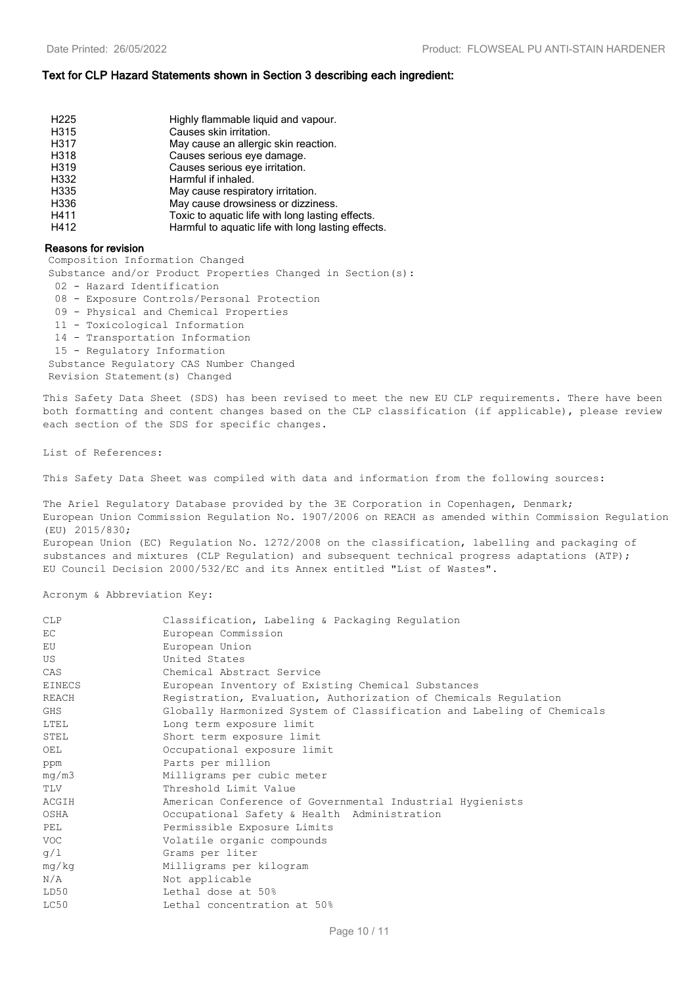#### **Text for CLP Hazard Statements shown in Section 3 describing each ingredient:**

| H <sub>225</sub> |                                                    |
|------------------|----------------------------------------------------|
|                  | Highly flammable liquid and vapour.                |
| H315             | Causes skin irritation.                            |
| H317             | May cause an allergic skin reaction.               |
| H318             | Causes serious eye damage.                         |
| H319             | Causes serious eye irritation.                     |
| H332             | Harmful if inhaled.                                |
| H335             | May cause respiratory irritation.                  |
| H336             | May cause drowsiness or dizziness.                 |
| H411             | Toxic to aguatic life with long lasting effects.   |
| H412             | Harmful to aquatic life with long lasting effects. |

#### **Reasons for revision**

Composition Information Changed

Substance and/or Product Properties Changed in Section(s):

- 02 Hazard Identification
- 08 Exposure Controls/Personal Protection
- 09 Physical and Chemical Properties
- 11 Toxicological Information
- 14 Transportation Information
- 15 Regulatory Information
- Substance Regulatory CAS Number Changed

Revision Statement(s) Changed

This Safety Data Sheet (SDS) has been revised to meet the new EU CLP requirements. There have been both formatting and content changes based on the CLP classification (if applicable), please review each section of the SDS for specific changes.

#### List of References:

This Safety Data Sheet was compiled with data and information from the following sources:

The Ariel Regulatory Database provided by the 3E Corporation in Copenhagen, Denmark; European Union Commission Regulation No. 1907/2006 on REACH as amended within Commission Regulation (EU) 2015/830;

European Union (EC) Regulation No. 1272/2008 on the classification, labelling and packaging of substances and mixtures (CLP Requlation) and subsequent technical progress adaptations (ATP); EU Council Decision 2000/532/EC and its Annex entitled "List of Wastes".

Acronym & Abbreviation Key:

| <b>CLP</b>    | Classification, Labeling & Packaging Regulation                        |
|---------------|------------------------------------------------------------------------|
| EC            | European Commission                                                    |
| EU            | European Union                                                         |
| US            | United States                                                          |
| CAS           | Chemical Abstract Service                                              |
| <b>EINECS</b> | European Inventory of Existing Chemical Substances                     |
| REACH         | Registration, Evaluation, Authorization of Chemicals Regulation        |
| <b>GHS</b>    | Globally Harmonized System of Classification and Labeling of Chemicals |
| LTEL          | Long term exposure limit                                               |
| STEL          | Short term exposure limit                                              |
| OEL           | Occupational exposure limit                                            |
| ppm           | Parts per million                                                      |
| mq/m3         | Milligrams per cubic meter                                             |
| TLV           | Threshold Limit Value                                                  |
| ACGIH         | American Conference of Governmental Industrial Hygienists              |
| OSHA          | Occupational Safety & Health Administration                            |
| <b>PEL</b>    | Permissible Exposure Limits                                            |
| <b>VOC</b>    | Volatile organic compounds                                             |
| q/1           | Grams per liter                                                        |
| mg/kg         | Milligrams per kilogram                                                |
| N/A           | Not applicable                                                         |
| LD50          | Lethal dose at 50%                                                     |
| LC50          | Lethal concentration at 50%                                            |